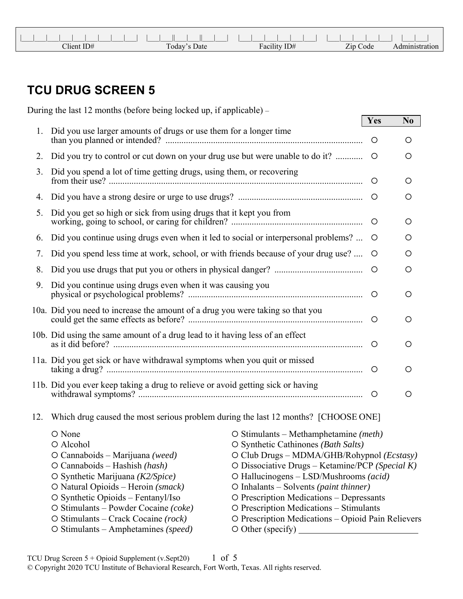| Client ID# | Today's Date | $-11$<br>ID#<br>Facılıt | Zip Code |  |
|------------|--------------|-------------------------|----------|--|

## **TCU DRUG SCREEN 5**

|     | During the last 12 months (before being locked up, if applicable) –                                                                                                                                                                                                                                                                             |                                                                                                                                                                                                                                                                                                                                                                                                                                                                            |         |                |
|-----|-------------------------------------------------------------------------------------------------------------------------------------------------------------------------------------------------------------------------------------------------------------------------------------------------------------------------------------------------|----------------------------------------------------------------------------------------------------------------------------------------------------------------------------------------------------------------------------------------------------------------------------------------------------------------------------------------------------------------------------------------------------------------------------------------------------------------------------|---------|----------------|
| 1.  | Did you use larger amounts of drugs or use them for a longer time                                                                                                                                                                                                                                                                               |                                                                                                                                                                                                                                                                                                                                                                                                                                                                            | Yes     | N <sub>0</sub> |
|     |                                                                                                                                                                                                                                                                                                                                                 |                                                                                                                                                                                                                                                                                                                                                                                                                                                                            | $\circ$ | $\circ$        |
| 2.  | Did you try to control or cut down on your drug use but were unable to do it?                                                                                                                                                                                                                                                                   |                                                                                                                                                                                                                                                                                                                                                                                                                                                                            | $\circ$ | $\circ$        |
| 3.  | Did you spend a lot of time getting drugs, using them, or recovering                                                                                                                                                                                                                                                                            |                                                                                                                                                                                                                                                                                                                                                                                                                                                                            | $\circ$ | O              |
| 4.  |                                                                                                                                                                                                                                                                                                                                                 |                                                                                                                                                                                                                                                                                                                                                                                                                                                                            |         | $\circ$        |
| 5.  | Did you get so high or sick from using drugs that it kept you from                                                                                                                                                                                                                                                                              |                                                                                                                                                                                                                                                                                                                                                                                                                                                                            | $\circ$ | O              |
| 6.  | Did you continue using drugs even when it led to social or interpersonal problems?                                                                                                                                                                                                                                                              |                                                                                                                                                                                                                                                                                                                                                                                                                                                                            | $\circ$ | O              |
| 7.  | Did you spend less time at work, school, or with friends because of your drug use?                                                                                                                                                                                                                                                              |                                                                                                                                                                                                                                                                                                                                                                                                                                                                            | $\circ$ | O              |
| 8.  |                                                                                                                                                                                                                                                                                                                                                 |                                                                                                                                                                                                                                                                                                                                                                                                                                                                            | $\circ$ | $\circ$        |
| 9.  | Did you continue using drugs even when it was causing you                                                                                                                                                                                                                                                                                       |                                                                                                                                                                                                                                                                                                                                                                                                                                                                            |         | O              |
|     | 10a. Did you need to increase the amount of a drug you were taking so that you                                                                                                                                                                                                                                                                  |                                                                                                                                                                                                                                                                                                                                                                                                                                                                            | $\circ$ | O              |
|     | 10b. Did using the same amount of a drug lead to it having less of an effect                                                                                                                                                                                                                                                                    |                                                                                                                                                                                                                                                                                                                                                                                                                                                                            | $\circ$ | O              |
|     | 11a. Did you get sick or have withdrawal symptoms when you quit or missed                                                                                                                                                                                                                                                                       |                                                                                                                                                                                                                                                                                                                                                                                                                                                                            | $\circ$ | O              |
|     | 11b. Did you ever keep taking a drug to relieve or avoid getting sick or having                                                                                                                                                                                                                                                                 |                                                                                                                                                                                                                                                                                                                                                                                                                                                                            | $\circ$ | O              |
| 12. | Which drug caused the most serious problem during the last 12 months? [CHOOSE ONE]                                                                                                                                                                                                                                                              |                                                                                                                                                                                                                                                                                                                                                                                                                                                                            |         |                |
|     | O None<br>O Alcohol<br>$O$ Cannaboids – Marijuana (weed)<br>$O$ Cannaboids – Hashish (hash)<br>O Synthetic Marijuana $(K2/Spice)$<br>O Natural Opioids – Heroin (smack)<br>O Synthetic Opioids - Fentanyl/Iso<br>O Stimulants - Powder Cocaine (coke)<br>$\circ$ Stimulants – Crack Cocaine (rock)<br>$\circ$ Stimulants – Amphetamines (speed) | $\circ$ Stimulants – Methamphetamine ( <i>meth</i> )<br>O Synthetic Cathinones (Bath Salts)<br>O Club Drugs - MDMA/GHB/Rohypnol (Ecstasy)<br>O Dissociative Drugs – Ketamine/PCP (Special $K$ )<br>O Hallucinogens - LSD/Mushrooms (acid)<br>$\circ$ Inhalants – Solvents ( <i>paint thinner</i> )<br>O Prescription Medications – Depressants<br>O Prescription Medications – Stimulants<br>O Prescription Medications - Opioid Pain Relievers<br>$\circ$ Other (specify) |         |                |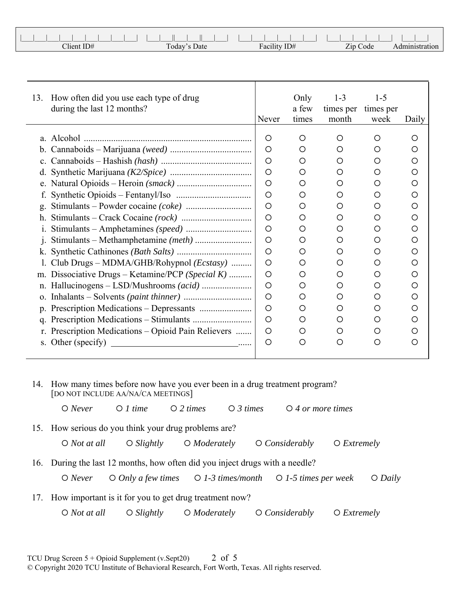| Client ID# | Today'.<br>Date | $T = 117$<br>ID#<br><b>Facility</b> | Zip<br>$\sim$<br>`ode |  |
|------------|-----------------|-------------------------------------|-----------------------|--|

| 13.                  | How often did you use each type of drug<br>during the last 12 months? | Never   | Only<br>a few<br>times | $1 - 3$<br>times per<br>month | $1 - 5$<br>times per<br>week | Daily   |
|----------------------|-----------------------------------------------------------------------|---------|------------------------|-------------------------------|------------------------------|---------|
|                      | a. Alcohol                                                            | O       | O                      | $\circ$                       | O                            | O       |
| b.                   |                                                                       | $\circ$ | O                      | $\circ$                       | ◯                            | ◯       |
|                      |                                                                       | $\circ$ |                        | O                             | O                            | O       |
| $\mathbf{c}$ .       |                                                                       |         | O                      |                               |                              |         |
| d.                   |                                                                       | O       | O                      | O                             | O                            | O       |
|                      |                                                                       | $\circ$ | O                      | O                             | O                            | O       |
|                      |                                                                       | O       | O                      | O                             | O                            | O       |
| g.                   |                                                                       | $\circ$ | O                      | O                             | O                            | Ο       |
| h.                   |                                                                       | O       | O                      | O                             | O                            | O       |
|                      |                                                                       | O       | O                      | O                             | O                            | O       |
| 1.                   |                                                                       | O       | O                      | O                             | O                            | O       |
|                      |                                                                       | O       | O                      | $\circ$                       | O                            | $\circ$ |
|                      | Club Drugs – MDMA/GHB/Rohypnol (Ecstasy)                              | $\circ$ | O                      | Ο                             | O                            | Ο       |
| m.                   | Dissociative Drugs – Ketamine/PCP (Special K)                         | $\circ$ | O                      | $\circ$                       | ◯                            | ◯       |
|                      |                                                                       | O       | O                      | Ο                             | O                            | O       |
|                      |                                                                       | O       | O                      | Ο                             | O                            | Ο       |
|                      |                                                                       | $\circ$ | O                      | $\circ$                       | O                            | O       |
| $\mathbf{q}_{\cdot}$ |                                                                       | O       | O                      | O                             | O                            | O       |
|                      | r. Prescription Medications – Opioid Pain Relievers                   | O       | O                      | O                             | O                            | ◯       |
|                      | s. Other (specify)                                                    | O       | O                      | $\circ$                       | O                            | $\circ$ |
|                      |                                                                       |         |                        |                               |                              |         |

14. How many times before now have you ever been in a drug treatment program? [DO NOT INCLUDE AA/NA/CA MEETINGS]

*Never 1 time 2 times 3 times 4 or more times*

15. How serious do you think your drug problems are?

*Not at all Slightly Moderately Considerably Extremely*

16. During the last 12 months, how often did you inject drugs with a needle?

*Never Only a few times 1-3 times/month 1-5 times per week Daily*

17. How important is it for you to get drug treatment now?

*Not at all Slightly Moderately Considerably Extremely*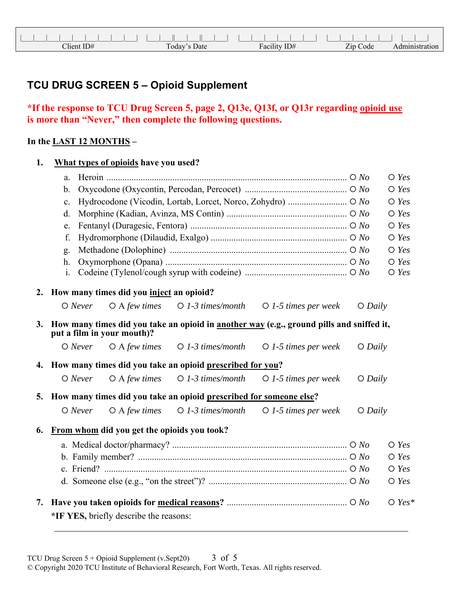## **TCU DRUG SCREEN 5 – Opioid Supplement**

## **\*If the response to TCU Drug Screen 5, page 2, Q13e, Q13f, or Q13r regarding opioid use is more than "Never," then complete the following questions.**

## **In the LAST 12 MONTHS –**

| 1. |                | What types of opioids have you used?        |                                                                    |                                                                                          |           |                |  |  |
|----|----------------|---------------------------------------------|--------------------------------------------------------------------|------------------------------------------------------------------------------------------|-----------|----------------|--|--|
|    | a.             |                                             |                                                                    |                                                                                          |           | $\bigcirc$ Yes |  |  |
|    | $b$ .          |                                             |                                                                    |                                                                                          |           |                |  |  |
|    | $\mathbf{c}$ . |                                             |                                                                    |                                                                                          |           | $O$ Yes        |  |  |
|    | d.             |                                             |                                                                    |                                                                                          |           | $\bigcirc$ Yes |  |  |
|    | e.             |                                             |                                                                    |                                                                                          |           | $O$ Yes        |  |  |
|    | f.             |                                             |                                                                    |                                                                                          |           | $\bigcirc$ Yes |  |  |
|    | g.             |                                             |                                                                    |                                                                                          |           | $\bigcirc$ Yes |  |  |
|    | h.             |                                             |                                                                    |                                                                                          |           | $O$ Yes        |  |  |
|    | i.             |                                             |                                                                    |                                                                                          |           | $O$ Yes        |  |  |
| 2. |                | How many times did you inject an opioid?    |                                                                    |                                                                                          |           |                |  |  |
|    | $O$ Never      | $O$ A few times                             | $\bigcirc$ 1-3 times/month                                         | $\bigcirc$ 1-5 times per week                                                            | $O$ Daily |                |  |  |
| 3. |                | put a film in your mouth)?                  |                                                                    | How many times did you take an opioid in another way (e.g., ground pills and sniffed it, |           |                |  |  |
|    | $O$ Never      | $O$ A few times                             | $\bigcirc$ 1-3 times/month                                         | $O$ 1-5 times per week                                                                   | $O$ Daily |                |  |  |
|    |                |                                             | 4. How many times did you take an opioid prescribed for you?       |                                                                                          |           |                |  |  |
|    | $O$ Never      | $O$ A few times                             | $O$ 1-3 times/month                                                | $\bigcirc$ 1-5 times per week                                                            | $O$ Daily |                |  |  |
| 5. |                |                                             | How many times did you take an opioid prescribed for someone else? |                                                                                          |           |                |  |  |
|    | $O$ Never      | $O$ A few times                             | $\bigcirc$ 1-3 times/month                                         | $\bigcirc$ 1-5 times per week                                                            | $O$ Daily |                |  |  |
| 6. |                | From whom did you get the opioids you took? |                                                                    |                                                                                          |           |                |  |  |
|    |                |                                             |                                                                    |                                                                                          |           | $O$ Yes        |  |  |
|    |                |                                             |                                                                    |                                                                                          |           | $\bigcirc$ Yes |  |  |
|    |                |                                             |                                                                    |                                                                                          |           | $O$ Yes        |  |  |
|    |                |                                             |                                                                    |                                                                                          |           | $O$ Yes        |  |  |
| 7. |                | *IF YES, briefly describe the reasons:      |                                                                    |                                                                                          |           | $O$ Yes*       |  |  |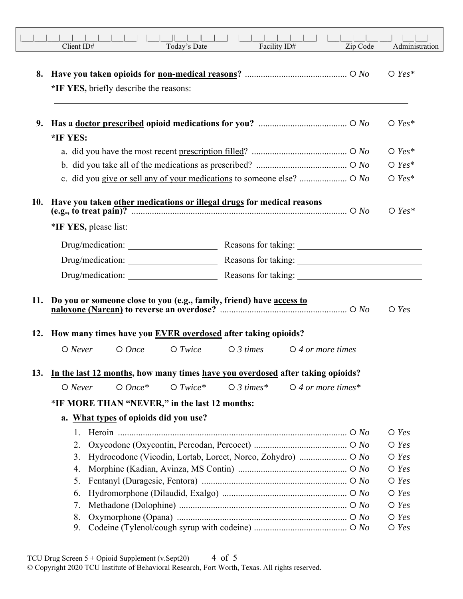|     | Client ID#                                                                                                                                                                                                                     | Today's Date |                     | Facility ID#                                  | Zip Code | Administration            |
|-----|--------------------------------------------------------------------------------------------------------------------------------------------------------------------------------------------------------------------------------|--------------|---------------------|-----------------------------------------------|----------|---------------------------|
| 8.  | *IF YES, briefly describe the reasons:                                                                                                                                                                                         |              |                     |                                               |          | $\bigcirc$ Yes*           |
| 9.  |                                                                                                                                                                                                                                |              |                     |                                               |          | $O$ Yes*                  |
|     | *IF YES:                                                                                                                                                                                                                       |              |                     |                                               |          |                           |
|     |                                                                                                                                                                                                                                |              |                     |                                               |          | $O$ Yes*                  |
|     |                                                                                                                                                                                                                                |              |                     |                                               |          | $O$ Yes*                  |
|     |                                                                                                                                                                                                                                |              |                     |                                               |          | $O$ Yes*                  |
|     | 10. Have you taken other medications or illegal drugs for medical reasons<br>(e.g., to treat pain)? $\overline{\phantom{a} \phantom{a} \phantom{a}}$<br>*IF YES, please list:                                                  |              |                     |                                               |          | $O$ Yes*                  |
|     | Drug/medication: Reasons for taking: Network Changes and Changes and Changes and Changes and Changes and Changes and Changes and Changes and Changes and Changes and Changes and Changes and Changes and Changes and Changes a |              |                     |                                               |          |                           |
|     | Drug/medication:                                                                                                                                                                                                               |              |                     |                                               |          |                           |
|     |                                                                                                                                                                                                                                |              |                     |                                               |          |                           |
|     | 11. Do you or someone close to you (e.g., family, friend) have access to<br>12. How many times have you EVER overdosed after taking opioids?                                                                                   |              |                     |                                               |          | $O$ Yes                   |
|     | $O$ Never<br>$O$ Once                                                                                                                                                                                                          | $O$ Twice    |                     | $\bigcirc$ 3 times $\bigcirc$ 4 or more times |          |                           |
| 13. | In the last 12 months, how many times have you overdosed after taking opioids?                                                                                                                                                 |              |                     |                                               |          |                           |
|     | $O$ Once*<br>$O$ Never                                                                                                                                                                                                         | $O$ Twice*   | $\bigcirc$ 3 times* | $\bigcirc$ 4 or more times*                   |          |                           |
|     | *IF MORE THAN "NEVER," in the last 12 months:                                                                                                                                                                                  |              |                     |                                               |          |                           |
|     | a. What types of opioids did you use?                                                                                                                                                                                          |              |                     |                                               |          |                           |
|     | 1.                                                                                                                                                                                                                             |              |                     |                                               |          | $\bigcirc$ Yes            |
|     | 2.                                                                                                                                                                                                                             |              |                     |                                               |          | $O$ Yes                   |
|     | 3.                                                                                                                                                                                                                             |              |                     |                                               |          | $\bigcirc$ Yes            |
|     | 4.<br>5.                                                                                                                                                                                                                       |              |                     |                                               |          | $\bigcirc$ Yes<br>$O$ Yes |
|     | 6.                                                                                                                                                                                                                             |              |                     |                                               |          | $\bigcirc$ Yes            |
|     | 7.                                                                                                                                                                                                                             |              |                     |                                               |          | $\bigcirc$ Yes            |
|     | 8.                                                                                                                                                                                                                             |              |                     |                                               |          | $O$ Yes                   |
|     | 9.                                                                                                                                                                                                                             |              |                     |                                               |          | $\bigcirc$ Yes            |